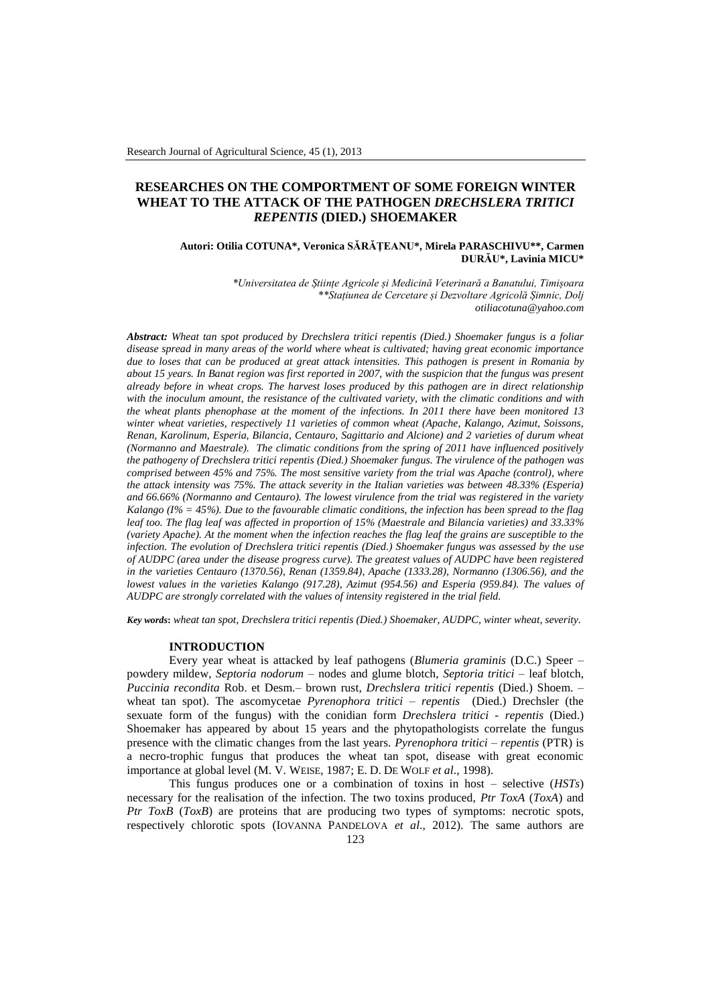# **RESEARCHES ON THE COMPORTMENT OF SOME FOREIGN WINTER WHEAT TO THE ATTACK OF THE PATHOGEN** *DRECHSLERA TRITICI REPENTIS* **(DIED.) SHOEMAKER**

# **Autori: Otilia COTUNA\*, Veronica SĂRĂŢEANU\*, Mirela PARASCHIVU\*\*, Carmen DURĂU\*, Lavinia MICU\***

*\*Universitatea de Științe Agricole și Medicină Veterinară a Banatului, Timișoara \*\*Stațiunea de Cercetare și Dezvoltare Agricolă Șimnic, Dolj [otiliacotuna@yahoo.com](mailto:otiliacotuna@yahoo.com)*

*Abstract: Wheat tan spot produced by Drechslera tritici repentis (Died.) Shoemaker fungus is a foliar disease spread in many areas of the world where wheat is cultivated; having great economic importance due to loses that can be produced at great attack intensities. This pathogen is present in Romania by about 15 years. In Banat region was first reported in 2007, with the suspicion that the fungus was present already before in wheat crops. The harvest loses produced by this pathogen are in direct relationship with the inoculum amount, the resistance of the cultivated variety, with the climatic conditions and with the wheat plants phenophase at the moment of the infections. In 2011 there have been monitored 13 winter wheat varieties, respectively 11 varieties of common wheat (Apache, Kalango, Azimut, Soissons, Renan, Karolinum, Esperia, Bilancia, Centauro, Sagittario and Alcione) and 2 varieties of durum wheat (Normanno and Maestrale). The climatic conditions from the spring of 2011 have influenced positively the pathogeny of Drechslera tritici repentis (Died.) Shoemaker fungus. The virulence of the pathogen was comprised between 45% and 75%. The most sensitive variety from the trial was Apache (control), where the attack intensity was 75%. The attack severity in the Italian varieties was between 48.33% (Esperia) and 66.66% (Normanno and Centauro). The lowest virulence from the trial was registered in the variety Kalango (I% = 45%). Due to the favourable climatic conditions, the infection has been spread to the flag leaf too. The flag leaf was affected in proportion of 15% (Maestrale and Bilancia varieties) and 33.33% (variety Apache). At the moment when the infection reaches the flag leaf the grains are susceptible to the infection. The evolution of Drechslera tritici repentis (Died.) Shoemaker fungus was assessed by the use of AUDPC (area under the disease progress curve). The greatest values of AUDPC have been registered in the varieties Centauro (1370.56), Renan (1359.84), Apache (1333.28), Normanno (1306.56), and the lowest values in the varieties Kalango (917.28), Azimut (954.56) and Esperia (959.84). The values of AUDPC are strongly correlated with the values of intensity registered in the trial field.*

*Key words***:** *wheat tan spot, Drechslera tritici repentis (Died.) Shoemaker, AUDPC, winter wheat, severity.*

# **INTRODUCTION**

Every year wheat is attacked by leaf pathogens (*Blumeria graminis* (D.C.) Speer – powdery mildew, *Septoria nodorum* – nodes and glume blotch, *Septoria tritici* – leaf blotch, *Puccinia recondita* Rob. et Desm.– brown rust, *Drechslera tritici repentis* (Died.) Shoem. – wheat tan spot). The ascomycetae *Pyrenophora tritici – repentis* (Died.) Drechsler (the sexuate form of the fungus) with the conidian form *Drechslera tritici - repentis* (Died.) Shoemaker has appeared by about 15 years and the phytopathologists correlate the fungus presence with the climatic changes from the last years. *Pyrenophora tritici – repentis* (PTR) is a necro-trophic fungus that produces the wheat tan spot, disease with great economic importance at global level (M. V. WEISE, 1987; E. D. DE WOLF *et al*., 1998).

This fungus produces one or a combination of toxins in host – selective (*HSTs*) necessary for the realisation of the infection. The two toxins produced, *Ptr ToxA* (*ToxA*) and *Ptr ToxB* (*ToxB*) are proteins that are producing two types of symptoms: necrotic spots, respectively chlorotic spots (IOVANNA PANDELOVA *et al*., 2012). The same authors are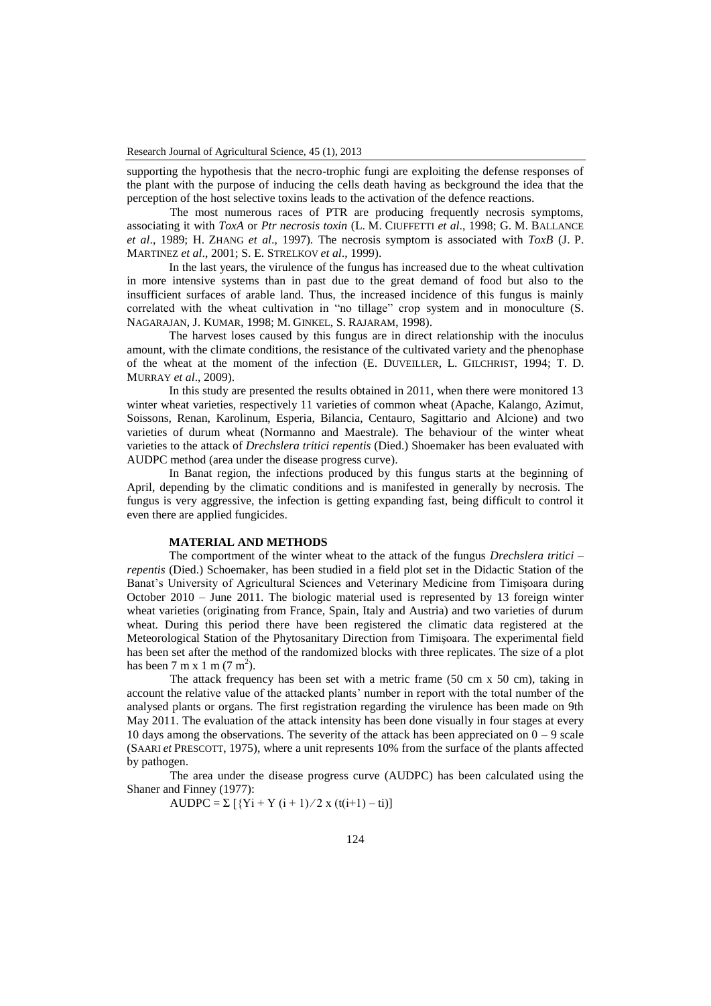supporting the hypothesis that the necro-trophic fungi are exploiting the defense responses of the plant with the purpose of inducing the cells death having as beckground the idea that the perception of the host selective toxins leads to the activation of the defence reactions.

The most numerous races of PTR are producing frequently necrosis symptoms, associating it with *ToxA* or *Ptr necrosis toxin* (L. M. CIUFFETTI *et al*., 1998; G. M. BALLANCE *et al*., 1989; H. ZHANG *et al*., 1997). The necrosis symptom is associated with *ToxB* (J. P. MARTINEZ *et al*., 2001; S. E. STRELKOV *et al*., 1999).

In the last years, the virulence of the fungus has increased due to the wheat cultivation in more intensive systems than in past due to the great demand of food but also to the insufficient surfaces of arable land. Thus, the increased incidence of this fungus is mainly correlated with the wheat cultivation in "no tillage" crop system and in monoculture (S. NAGARAJAN, J. KUMAR, 1998; M. GINKEL, S. RAJARAM, 1998).

The harvest loses caused by this fungus are in direct relationship with the inoculus amount, with the climate conditions, the resistance of the cultivated variety and the phenophase of the wheat at the moment of the infection (E. DUVEILLER, L. GILCHRIST, 1994; T. D. MURRAY *et al*., 2009).

In this study are presented the results obtained in 2011, when there were monitored 13 winter wheat varieties, respectively 11 varieties of common wheat (Apache, Kalango, Azimut, Soissons, Renan, Karolinum, Esperia, Bilancia, Centauro, Sagittario and Alcione) and two varieties of durum wheat (Normanno and Maestrale). The behaviour of the winter wheat varieties to the attack of *Drechslera tritici repentis* (Died.) Shoemaker has been evaluated with AUDPC method (area under the disease progress curve).

In Banat region, the infections produced by this fungus starts at the beginning of April, depending by the climatic conditions and is manifested in generally by necrosis. The fungus is very aggressive, the infection is getting expanding fast, being difficult to control it even there are applied fungicides.

### **MATERIAL AND METHODS**

The comportment of the winter wheat to the attack of the fungus *Drechslera tritici – repentis* (Died.) Schoemaker, has been studied in a field plot set in the Didactic Station of the Banat's University of Agricultural Sciences and Veterinary Medicine from Timişoara during October 2010 – June 2011. The biologic material used is represented by 13 foreign winter wheat varieties (originating from France, Spain, Italy and Austria) and two varieties of durum wheat. During this period there have been registered the climatic data registered at the Meteorological Station of the Phytosanitary Direction from Timişoara. The experimental field has been set after the method of the randomized blocks with three replicates. The size of a plot has been  $7 \text{ m x 1 m} (7 \text{ m}^2)$ .

The attack frequency has been set with a metric frame (50 cm x 50 cm), taking in account the relative value of the attacked plants' number in report with the total number of the analysed plants or organs. The first registration regarding the virulence has been made on 9th May 2011. The evaluation of the attack intensity has been done visually in four stages at every 10 days among the observations. The severity of the attack has been appreciated on  $0 - 9$  scale (SAARI *et* PRESCOTT, 1975), where a unit represents 10% from the surface of the plants affected by pathogen.

The area under the disease progress curve (AUDPC) has been calculated using the Shaner and Finney (1977):

AUDPC =  $\Sigma$  [{Yi + Y (i + 1)/2 x (t(i+1) – ti)]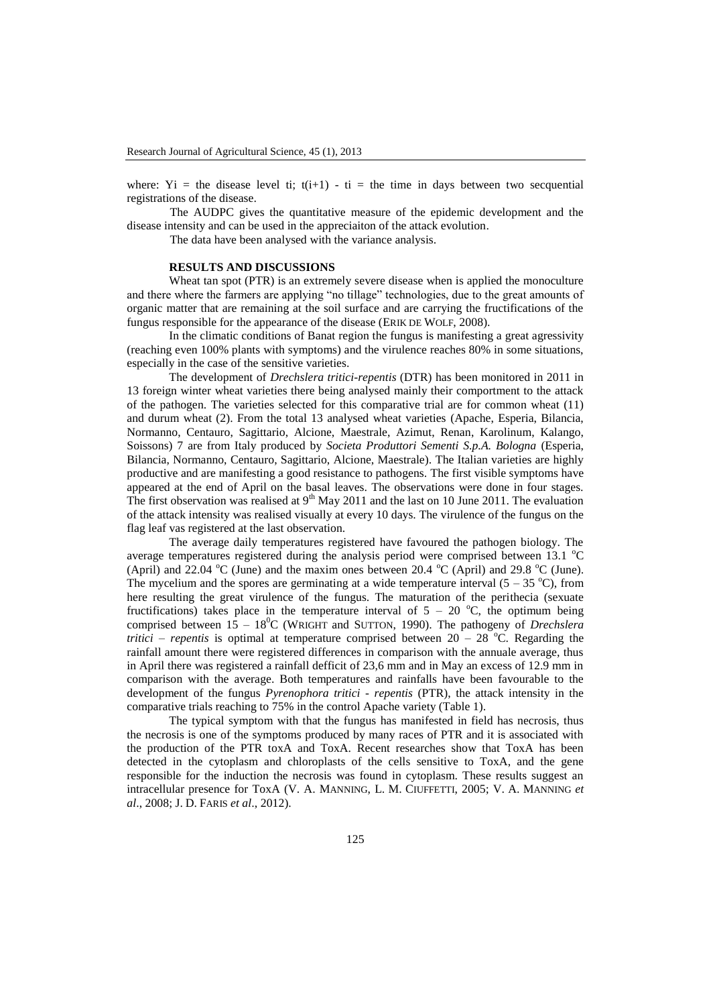where: Yi = the disease level ti;  $t(i+1) - t$  = the time in days between two secquential registrations of the disease.

The AUDPC gives the quantitative measure of the epidemic development and the disease intensity and can be used in the appreciaiton of the attack evolution.

The data have been analysed with the variance analysis.

### **RESULTS AND DISCUSSIONS**

Wheat tan spot (PTR) is an extremely severe disease when is applied the monoculture and there where the farmers are applying "no tillage" technologies, due to the great amounts of organic matter that are remaining at the soil surface and are carrying the fructifications of the fungus responsible for the appearance of the disease (ERIK DE WOLF, 2008).

In the climatic conditions of Banat region the fungus is manifesting a great agressivity (reaching even 100% plants with symptoms) and the virulence reaches 80% in some situations, especially in the case of the sensitive varieties.

The development of *Drechslera tritici-repentis* (DTR) has been monitored in 2011 in 13 foreign winter wheat varieties there being analysed mainly their comportment to the attack of the pathogen. The varieties selected for this comparative trial are for common wheat (11) and durum wheat (2). From the total 13 analysed wheat varieties (Apache, Esperia, Bilancia, Normanno, Centauro, Sagittario, Alcione, Maestrale, Azimut, Renan, Karolinum, Kalango, Soissons) 7 are from Italy produced by *Societa Produttori Sementi S.p.A. Bologna* (Esperia, Bilancia, Normanno, Centauro, Sagittario, Alcione, Maestrale). The Italian varieties are highly productive and are manifesting a good resistance to pathogens. The first visible symptoms have appeared at the end of April on the basal leaves. The observations were done in four stages. The first observation was realised at  $9<sup>th</sup>$  May 2011 and the last on 10 June 2011. The evaluation of the attack intensity was realised visually at every 10 days. The virulence of the fungus on the flag leaf vas registered at the last observation.

The average daily temperatures registered have favoured the pathogen biology. The average temperatures registered during the analysis period were comprised between 13.1  $^{\circ}$ C (April) and 22.04  $^{\circ}$ C (June) and the maxim ones between 20.4  $^{\circ}$ C (April) and 29.8  $^{\circ}$ C (June). The mycelium and the spores are germinating at a wide temperature interval  $(5 - 35 \degree C)$ , from here resulting the great virulence of the fungus. The maturation of the perithecia (sexuate fructifications) takes place in the temperature interval of  $5 - 20$  °C, the optimum being comprised between  $15 - 18^{\circ}$ C (WRIGHT and SUTTON, 1990). The pathogeny of *Drechslera tritici – repentis* is optimal at temperature comprised between  $20 - 28$  °C. Regarding the rainfall amount there were registered differences in comparison with the annuale average, thus in April there was registered a rainfall defficit of 23,6 mm and in May an excess of 12.9 mm in comparison with the average. Both temperatures and rainfalls have been favourable to the development of the fungus *Pyrenophora tritici - repentis* (PTR), the attack intensity in the comparative trials reaching to 75% in the control Apache variety (Table 1).

The typical symptom with that the fungus has manifested in field has necrosis, thus the necrosis is one of the symptoms produced by many races of PTR and it is associated with the production of the PTR toxA and ToxA. Recent researches show that ToxA has been detected in the cytoplasm and chloroplasts of the cells sensitive to ToxA, and the gene responsible for the induction the necrosis was found in cytoplasm. These results suggest an intracellular presence for ToxA (V. A. MANNING, L. M. CIUFFETTI, 2005; V. A. MANNING *et al*., 2008; J. D. FARIS *et al*., 2012).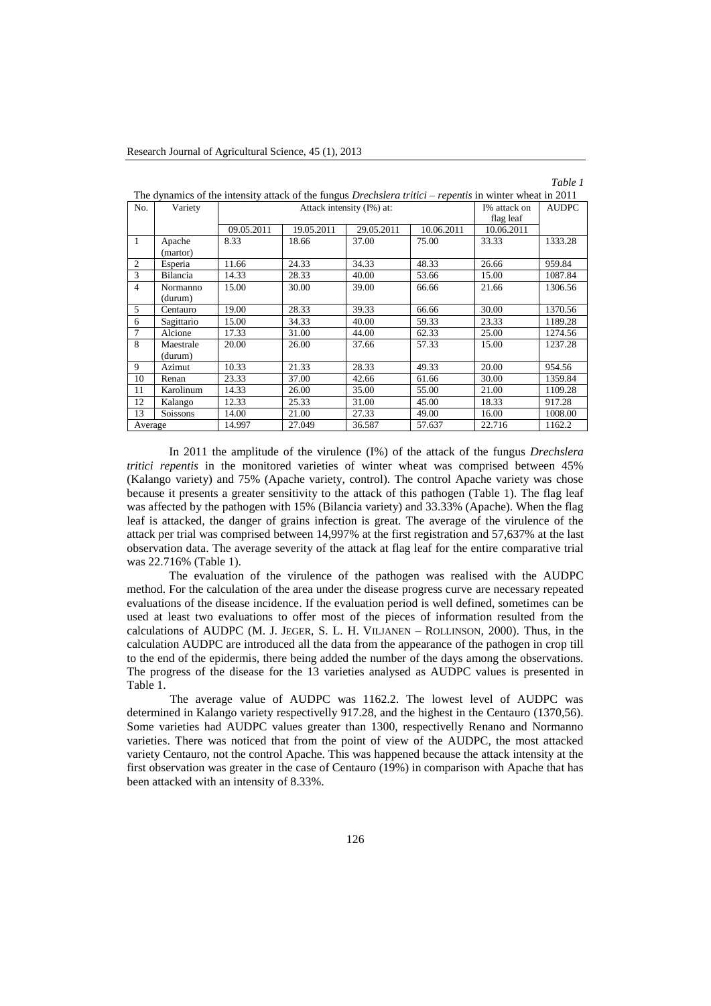| No.            | Variety    |            | Attack intensity (I%) at: | I% attack on | <b>AUDPC</b> |            |         |
|----------------|------------|------------|---------------------------|--------------|--------------|------------|---------|
|                |            |            |                           | flag leaf    |              |            |         |
|                |            | 09.05.2011 | 19.05.2011                | 29.05.2011   | 10.06.2011   | 10.06.2011 |         |
| $\mathbf{1}$   | Apache     | 8.33       | 18.66                     | 37.00        | 75.00        | 33.33      | 1333.28 |
|                | (martor)   |            |                           |              |              |            |         |
| 2              | Esperia    | 11.66      | 24.33                     | 34.33        | 48.33        | 26.66      | 959.84  |
| 3              | Bilancia   | 14.33      | 28.33                     | 40.00        | 53.66        | 15.00      | 1087.84 |
| $\overline{4}$ | Normanno   | 15.00      | 30.00                     | 39.00        | 66.66        | 21.66      | 1306.56 |
|                | (durum)    |            |                           |              |              |            |         |
| 5              | Centauro   | 19.00      | 28.33                     | 39.33        | 66.66        | 30.00      | 1370.56 |
| 6              | Sagittario | 15.00      | 34.33                     | 40.00        | 59.33        | 23.33      | 1189.28 |
| 7              | Alcione    | 17.33      | 31.00                     | 44.00        | 62.33        | 25.00      | 1274.56 |
| 8              | Maestrale  | 20.00      | 26.00                     | 37.66        | 57.33        | 15.00      | 1237.28 |
|                | (durum)    |            |                           |              |              |            |         |
| 9              | Azimut     | 10.33      | 21.33                     | 28.33        | 49.33        | 20.00      | 954.56  |
| 10             | Renan      | 23.33      | 37.00                     | 42.66        | 61.66        | 30.00      | 1359.84 |
| 11             | Karolinum  | 14.33      | 26.00                     | 35.00        | 55.00        | 21.00      | 1109.28 |
| 12             | Kalango    | 12.33      | 25.33                     | 31.00        | 45.00        | 18.33      | 917.28  |
| 13             | Soissons   | 14.00      | 21.00                     | 27.33        | 49.00        | 16.00      | 1008.00 |
| Average        |            | 14.997     | 27.049                    | 36.587       | 57.637       | 22.716     | 1162.2  |

The dynamics of the intensity attack of the fungus *Drechslera tritici – repentis* in winter wheat in 2011

In 2011 the amplitude of the virulence (I%) of the attack of the fungus *Drechslera tritici repentis* in the monitored varieties of winter wheat was comprised between 45% (Kalango variety) and 75% (Apache variety, control). The control Apache variety was chose because it presents a greater sensitivity to the attack of this pathogen (Table 1). The flag leaf was affected by the pathogen with 15% (Bilancia variety) and 33.33% (Apache). When the flag leaf is attacked, the danger of grains infection is great. The average of the virulence of the attack per trial was comprised between 14,997% at the first registration and 57,637% at the last observation data. The average severity of the attack at flag leaf for the entire comparative trial was 22.716% (Table 1).

The evaluation of the virulence of the pathogen was realised with the AUDPC method. For the calculation of the area under the disease progress curve are necessary repeated evaluations of the disease incidence. If the evaluation period is well defined, sometimes can be used at least two evaluations to offer most of the pieces of information resulted from the calculations of AUDPC (M. J. JEGER, S. L. H. VILJANEN – ROLLINSON, 2000). Thus, in the calculation AUDPC are introduced all the data from the appearance of the pathogen in crop till to the end of the epidermis, there being added the number of the days among the observations. The progress of the disease for the 13 varieties analysed as AUDPC values is presented in Table 1.

The average value of AUDPC was 1162.2. The lowest level of AUDPC was determined in Kalango variety respectivelly 917.28, and the highest in the Centauro (1370,56). Some varieties had AUDPC values greater than 1300, respectivelly Renano and Normanno varieties. There was noticed that from the point of view of the AUDPC, the most attacked variety Centauro, not the control Apache. This was happened because the attack intensity at the first observation was greater in the case of Centauro (19%) in comparison with Apache that has been attacked with an intensity of 8.33%.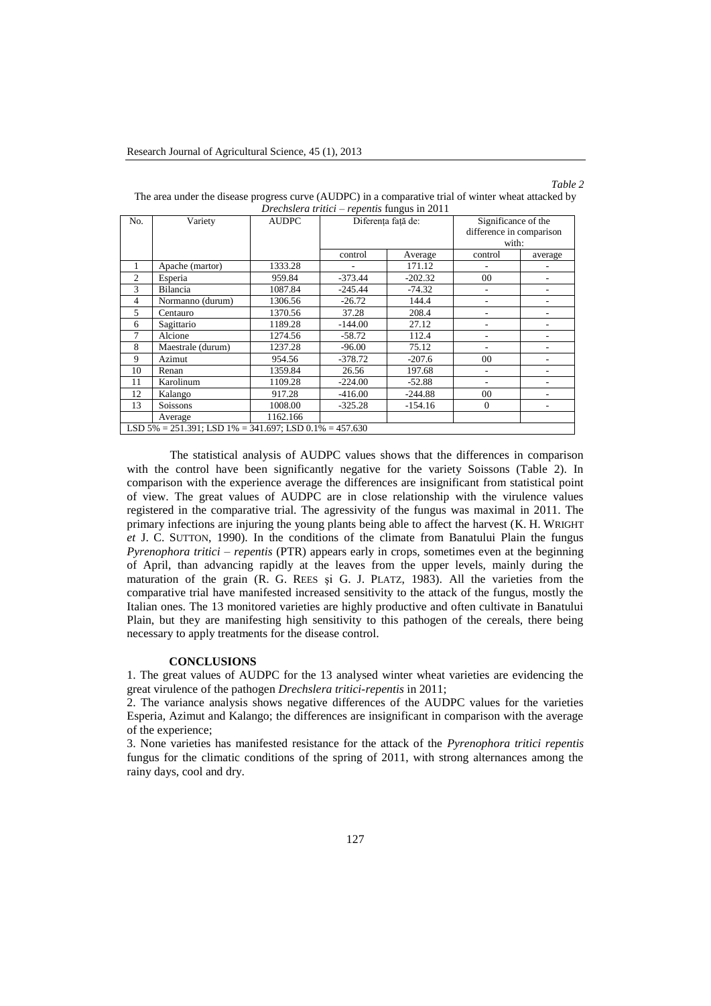# *Table 2*

| No.                                                               | Variety           | <b>AUDPC</b> | Diferenta fată de: |           | Significance of the<br>difference in comparison |         |  |  |  |
|-------------------------------------------------------------------|-------------------|--------------|--------------------|-----------|-------------------------------------------------|---------|--|--|--|
|                                                                   |                   |              |                    |           | with:                                           |         |  |  |  |
|                                                                   |                   |              | control            | Average   | control                                         | average |  |  |  |
| 1                                                                 | Apache (martor)   | 1333.28      |                    | 171.12    |                                                 |         |  |  |  |
| $\overline{2}$                                                    | Esperia           | 959.84       | $-373.44$          | $-202.32$ | 00                                              |         |  |  |  |
| 3                                                                 | Bilancia          | 1087.84      | $-245.44$          | $-74.32$  |                                                 |         |  |  |  |
| $\overline{4}$                                                    | Normanno (durum)  | 1306.56      | $-26.72$           | 144.4     |                                                 |         |  |  |  |
| 5                                                                 | Centauro          | 1370.56      | 37.28              | 208.4     |                                                 |         |  |  |  |
| 6                                                                 | Sagittario        | 1189.28      | $-144.00$          | 27.12     |                                                 |         |  |  |  |
| 7                                                                 | Alcione           | 1274.56      | $-58.72$           | 112.4     |                                                 |         |  |  |  |
| 8                                                                 | Maestrale (durum) | 1237.28      | $-96.00$           | 75.12     |                                                 |         |  |  |  |
| 9                                                                 | Azimut            | 954.56       | $-378.72$          | $-207.6$  | 00                                              |         |  |  |  |
| 10                                                                | Renan             | 1359.84      | 26.56              | 197.68    | ۰                                               |         |  |  |  |
| 11                                                                | Karolinum         | 1109.28      | $-224.00$          | $-52.88$  |                                                 |         |  |  |  |
| 12                                                                | Kalango           | 917.28       | $-416.00$          | $-244.88$ | 00                                              |         |  |  |  |
| 13                                                                | Soissons          | 1008.00      | $-325.28$          | $-154.16$ | $\theta$                                        |         |  |  |  |
|                                                                   | Average           | 1162.166     |                    |           |                                                 |         |  |  |  |
| LSD $5\% = 251.391$ : LSD $1\% = 341.697$ : LSD $0.1\% = 457.630$ |                   |              |                    |           |                                                 |         |  |  |  |

The area under the disease progress curve (AUDPC) in a comparative trial of winter wheat attacked by *Drechslera tritici – repentis* fungus in 2011

The statistical analysis of AUDPC values shows that the differences in comparison with the control have been significantly negative for the variety Soissons (Table 2). In comparison with the experience average the differences are insignificant from statistical point of view. The great values of AUDPC are in close relationship with the virulence values registered in the comparative trial. The agressivity of the fungus was maximal in 2011. The primary infections are injuring the young plants being able to affect the harvest (K. H. WRIGHT *et* J. C. SUTTON, 1990). In the conditions of the climate from Banatului Plain the fungus *Pyrenophora tritici – repentis* (PTR) appears early in crops, sometimes even at the beginning of April, than advancing rapidly at the leaves from the upper levels, mainly during the maturation of the grain (R. G. REES şi G. J. PLATZ, 1983). All the varieties from the comparative trial have manifested increased sensitivity to the attack of the fungus, mostly the Italian ones. The 13 monitored varieties are highly productive and often cultivate in Banatului Plain, but they are manifesting high sensitivity to this pathogen of the cereals, there being necessary to apply treatments for the disease control.

### **CONCLUSIONS**

1. The great values of AUDPC for the 13 analysed winter wheat varieties are evidencing the great virulence of the pathogen *Drechslera tritici-repentis* in 2011;

2. The variance analysis shows negative differences of the AUDPC values for the varieties Esperia, Azimut and Kalango; the differences are insignificant in comparison with the average of the experience;

3. None varieties has manifested resistance for the attack of the *Pyrenophora tritici repentis* fungus for the climatic conditions of the spring of 2011, with strong alternances among the rainy days, cool and dry.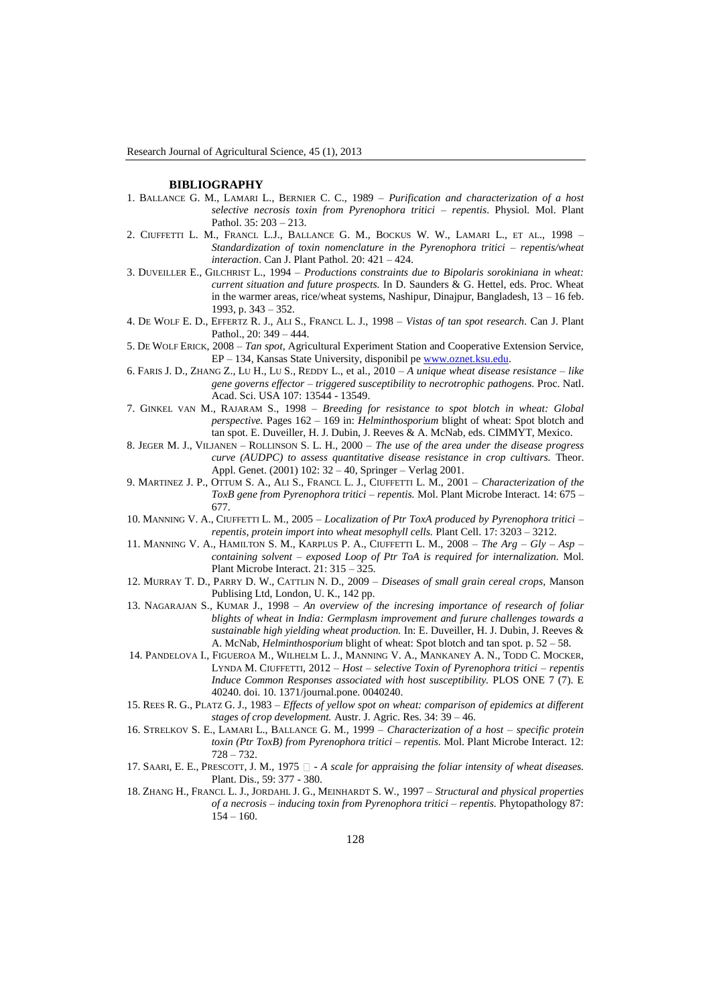#### **BIBLIOGRAPHY**

- 1. BALLANCE G. M., LAMARI L., BERNIER C. C., 1989 *Purification and characterization of a host selective necrosis toxin from Pyrenophora tritici – repentis*. Physiol. Mol. Plant Pathol. 35: 203 – 213.
- 2. CIUFFETTI L. M., FRANCL L.J., BALLANCE G. M., BOCKUS W. W., LAMARI L., ET AL., 1998 *Standardization of toxin nomenclature in the Pyrenophora tritici – repentis/wheat interaction*. Can J. Plant Pathol. 20: 421 – 424.
- 3. DUVEILLER E., GILCHRIST L., 1994 *Productions constraints due to Bipolaris sorokiniana in wheat: current situation and future prospects.* In D. Saunders & G. Hettel, eds. Proc. Wheat in the warmer areas, rice/wheat systems, Nashipur, Dinajpur, Bangladesh, 13 – 16 feb. 1993, p. 343 – 352.
- 4. DE WOLF E. D., EFFERTZ R. J., ALI S., FRANCL L. J., 1998 *Vistas of tan spot research*. Can J. Plant Pathol., 20: 349 – 444.
- 5. DE WOLF ERICK, 2008 *Tan spot*, Agricultural Experiment Station and Cooperative Extension Service, EP – 134, Kansas State University, disponibil p[e www.oznet.ksu.edu.](http://www.oznet.ksu.edu/)
- 6. FARIS J. D., ZHANG Z., LU H., LU S., REDDY L., et al., 2010 *A unique wheat disease resistance – like gene governs effector – triggered susceptibility to necrotrophic pathogens.* Proc. Natl. Acad. Sci. USA 107: 13544 - 13549.
- 7. GINKEL VAN M., RAJARAM S., 1998 *Breeding for resistance to spot blotch in wheat: Global perspective.* Pages 162 – 169 in: *Helminthosporium* blight of wheat: Spot blotch and tan spot. E. Duveiller, H. J. Dubin, J. Reeves & A. McNab, eds. CIMMYT, Mexico.
- 8. JEGER M. J., VILJANEN ROLLINSON S. L. H., 2000 *The use of the area under the disease progress curve (AUDPC) to assess quantitative disease resistance in crop cultivars.* Theor. Appl. Genet. (2001) 102: 32 – 40, Springer – Verlag 2001.
- 9. MARTINEZ J. P., OTTUM S. A., ALI S., FRANCL L. J., CIUFFETTI L. M., 2001 *Characterization of the ToxB gene from Pyrenophora tritici – repentis.* Mol. Plant Microbe Interact. 14: 675 – 677.
- 10. MANNING V. A., CIUFFETTI L. M., 2005 *Localization of Ptr ToxA produced by Pyrenophora tritici – repentis, protein import into wheat mesophyll cells.* Plant Cell. 17: 3203 – 3212.
- 11. MANNING V. A., HAMILTON S. M., KARPLUS P. A., CIUFFETTI L. M., 2008 *The Arg – Gly – Asp – containing solvent – exposed Loop of Ptr ToA is required for internalization.* Mol. Plant Microbe Interact. 21: 315 – 325.
- 12. MURRAY T. D., PARRY D. W., CATTLIN N. D., 2009 *Diseases of small grain cereal crops,* Manson Publising Ltd, London, U. K., 142 pp.
- 13. NAGARAJAN S., KUMAR J., 1998 *An overview of the incresing importance of research of foliar blights of wheat in India: Germplasm improvement and furure challenges towards a sustainable high yielding wheat production.* In: E. Duveiller, H. J. Dubin, J. Reeves & A. McNab, *Helminthosporium* blight of wheat: Spot blotch and tan spot. p. 52 – 58.
- 14. PANDELOVA I., FIGUEROA M., WILHELM L. J., MANNING V. A., MANKANEY A. N., TODD C. MOCKER, LYNDA M. CIUFFETTI, 2012 – *Host – selective Toxin of Pyrenophora tritici – repentis Induce Common Responses associated with host susceptibility.* PLOS ONE 7 (7). E 40240. doi. 10. 1371/journal.pone. 0040240.
- 15. REES R. G., PLATZ G. J., 1983 *Effects of yellow spot on wheat: comparison of epidemics at different stages of crop development.* Austr. J. Agric. Res. 34: 39 – 46.
- 16. STRELKOV S. E., LAMARI L., BALLANCE G. M., 1999 *Characterization of a host – specific protein toxin (Ptr ToxB) from Pyrenophora tritici – repentis.* Mol. Plant Microbe Interact. 12: 728 – 732.
- 17. SAARI, E. E., PRESCOTT, J. M., 1975  $\Box$  A scale for appraising the foliar intensity of wheat diseases. Plant. Dis., 59: 377 - 380.
- 18. ZHANG H., FRANCL L. J., JORDAHL J. G., MEINHARDT S. W., 1997 *Structural and physical properties of a necrosis – inducing toxin from Pyrenophora tritici – repentis.* Phytopathology 87:  $154 - 160.$